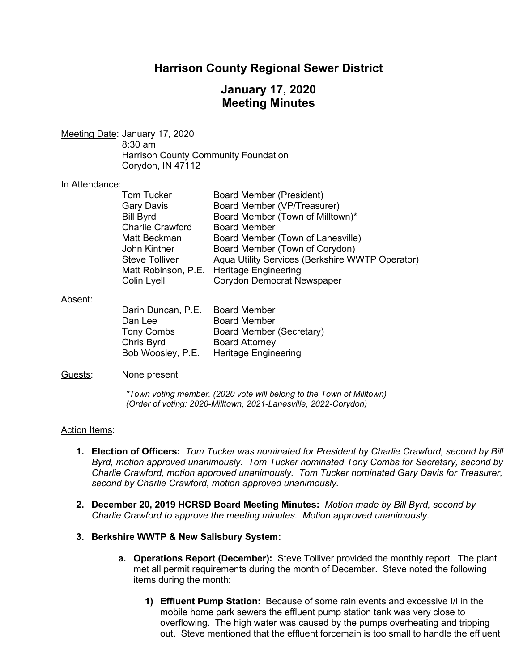## **Harrison County Regional Sewer District**

# **January 17, 2020 Meeting Minutes**

Meeting Date: January 17, 2020 8:30 am Harrison County Community Foundation Corydon, IN 47112

#### In Attendance:

| <b>Tom Tucker</b>       | <b>Board Member (President)</b>                 |
|-------------------------|-------------------------------------------------|
| <b>Gary Davis</b>       | Board Member (VP/Treasurer)                     |
| <b>Bill Byrd</b>        | Board Member (Town of Milltown)*                |
| <b>Charlie Crawford</b> | <b>Board Member</b>                             |
| Matt Beckman            | Board Member (Town of Lanesville)               |
| John Kintner            | Board Member (Town of Corydon)                  |
| <b>Steve Tolliver</b>   | Aqua Utility Services (Berkshire WWTP Operator) |
|                         | Matt Robinson, P.E. Heritage Engineering        |
| Colin Lyell             | Corydon Democrat Newspaper                      |
|                         |                                                 |

#### Absent:

| Darin Duncan, P.E. | <b>Board Member</b>         |
|--------------------|-----------------------------|
| Dan Lee            | <b>Board Member</b>         |
| <b>Tony Combs</b>  | Board Member (Secretary)    |
| Chris Byrd         | <b>Board Attorney</b>       |
| Bob Woosley, P.E.  | <b>Heritage Engineering</b> |

#### Guests: None present

*\*Town voting member. (2020 vote will belong to the Town of Milltown) (Order of voting: 2020-Milltown, 2021-Lanesville, 2022-Corydon)* 

#### Action Items:

- **1. Election of Officers:** *Tom Tucker was nominated for President by Charlie Crawford, second by Bill Byrd, motion approved unanimously. Tom Tucker nominated Tony Combs for Secretary, second by Charlie Crawford, motion approved unanimously. Tom Tucker nominated Gary Davis for Treasurer, second by Charlie Crawford, motion approved unanimously.*
- **2. December 20, 2019 HCRSD Board Meeting Minutes:** *Motion made by Bill Byrd, second by Charlie Crawford to approve the meeting minutes. Motion approved unanimously.*
- **3. Berkshire WWTP & New Salisbury System:**
	- **a. Operations Report (December):** Steve Tolliver provided the monthly report. The plant met all permit requirements during the month of December. Steve noted the following items during the month:
		- **1) Effluent Pump Station:** Because of some rain events and excessive I/I in the mobile home park sewers the effluent pump station tank was very close to overflowing. The high water was caused by the pumps overheating and tripping out. Steve mentioned that the effluent forcemain is too small to handle the effluent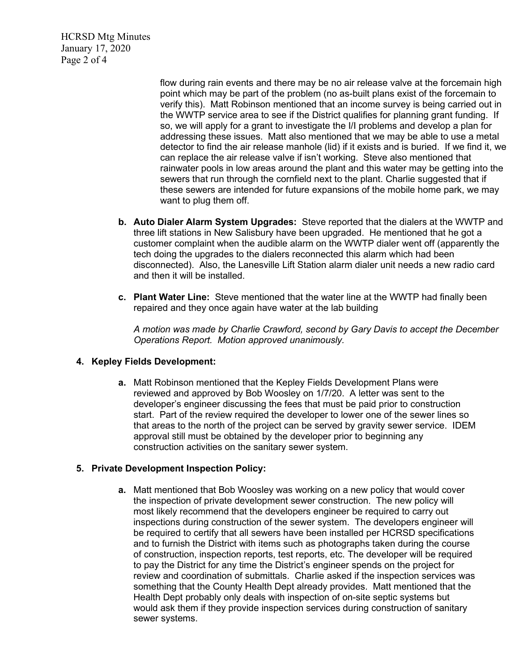HCRSD Mtg Minutes January 17, 2020 Page 2 of 4

> flow during rain events and there may be no air release valve at the forcemain high point which may be part of the problem (no as-built plans exist of the forcemain to verify this). Matt Robinson mentioned that an income survey is being carried out in the WWTP service area to see if the District qualifies for planning grant funding. If so, we will apply for a grant to investigate the I/I problems and develop a plan for addressing these issues. Matt also mentioned that we may be able to use a metal detector to find the air release manhole (lid) if it exists and is buried. If we find it, we can replace the air release valve if isn't working. Steve also mentioned that rainwater pools in low areas around the plant and this water may be getting into the sewers that run through the cornfield next to the plant. Charlie suggested that if these sewers are intended for future expansions of the mobile home park, we may want to plug them off.

- **b. Auto Dialer Alarm System Upgrades:** Steve reported that the dialers at the WWTP and three lift stations in New Salisbury have been upgraded. He mentioned that he got a customer complaint when the audible alarm on the WWTP dialer went off (apparently the tech doing the upgrades to the dialers reconnected this alarm which had been disconnected). Also, the Lanesville Lift Station alarm dialer unit needs a new radio card and then it will be installed.
- **c. Plant Water Line:** Steve mentioned that the water line at the WWTP had finally been repaired and they once again have water at the lab building

*A motion was made by Charlie Crawford, second by Gary Davis to accept the December Operations Report. Motion approved unanimously.*

## **4. Kepley Fields Development:**

**a.** Matt Robinson mentioned that the Kepley Fields Development Plans were reviewed and approved by Bob Woosley on 1/7/20. A letter was sent to the developer's engineer discussing the fees that must be paid prior to construction start. Part of the review required the developer to lower one of the sewer lines so that areas to the north of the project can be served by gravity sewer service. IDEM approval still must be obtained by the developer prior to beginning any construction activities on the sanitary sewer system.

#### **5. Private Development Inspection Policy:**

**a.** Matt mentioned that Bob Woosley was working on a new policy that would cover the inspection of private development sewer construction. The new policy will most likely recommend that the developers engineer be required to carry out inspections during construction of the sewer system. The developers engineer will be required to certify that all sewers have been installed per HCRSD specifications and to furnish the District with items such as photographs taken during the course of construction, inspection reports, test reports, etc. The developer will be required to pay the District for any time the District's engineer spends on the project for review and coordination of submittals. Charlie asked if the inspection services was something that the County Health Dept already provides. Matt mentioned that the Health Dept probably only deals with inspection of on-site septic systems but would ask them if they provide inspection services during construction of sanitary sewer systems.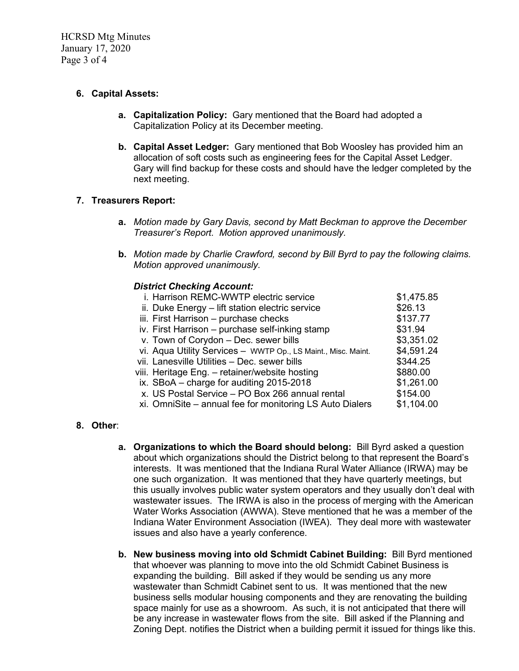HCRSD Mtg Minutes January 17, 2020 Page 3 of 4

## **6. Capital Assets:**

- **a. Capitalization Policy:** Gary mentioned that the Board had adopted a Capitalization Policy at its December meeting.
- **b. Capital Asset Ledger:** Gary mentioned that Bob Woosley has provided him an allocation of soft costs such as engineering fees for the Capital Asset Ledger. Gary will find backup for these costs and should have the ledger completed by the next meeting.

## **7. Treasurers Report:**

- **a.** *Motion made by Gary Davis, second by Matt Beckman to approve the December Treasurer's Report. Motion approved unanimously.*
- **b.** *Motion made by Charlie Crawford, second by Bill Byrd to pay the following claims. Motion approved unanimously.*

#### *District Checking Account:*

| i. Harrison REMC-WWTP electric service                        | \$1,475.85 |
|---------------------------------------------------------------|------------|
| ii. Duke Energy - lift station electric service               | \$26.13    |
| iii. First Harrison - purchase checks                         | \$137.77   |
| iv. First Harrison - purchase self-inking stamp               | \$31.94    |
| v. Town of Corydon - Dec. sewer bills                         | \$3,351.02 |
| vi. Aqua Utility Services - WWTP Op., LS Maint., Misc. Maint. | \$4,591.24 |
| vii. Lanesville Utilities - Dec. sewer bills                  | \$344.25   |
| viii. Heritage Eng. - retainer/website hosting                | \$880.00   |
| ix. SBoA - charge for auditing 2015-2018                      | \$1,261.00 |
| x. US Postal Service - PO Box 266 annual rental               | \$154.00   |
| xi. OmniSite – annual fee for monitoring LS Auto Dialers      | \$1,104.00 |
|                                                               |            |

## **8. Other**:

- **a. Organizations to which the Board should belong:** Bill Byrd asked a question about which organizations should the District belong to that represent the Board's interests. It was mentioned that the Indiana Rural Water Alliance (IRWA) may be one such organization. It was mentioned that they have quarterly meetings, but this usually involves public water system operators and they usually don't deal with wastewater issues. The IRWA is also in the process of merging with the American Water Works Association (AWWA). Steve mentioned that he was a member of the Indiana Water Environment Association (IWEA). They deal more with wastewater issues and also have a yearly conference.
- **b. New business moving into old Schmidt Cabinet Building:** Bill Byrd mentioned that whoever was planning to move into the old Schmidt Cabinet Business is expanding the building. Bill asked if they would be sending us any more wastewater than Schmidt Cabinet sent to us. It was mentioned that the new business sells modular housing components and they are renovating the building space mainly for use as a showroom. As such, it is not anticipated that there will be any increase in wastewater flows from the site. Bill asked if the Planning and Zoning Dept. notifies the District when a building permit it issued for things like this.